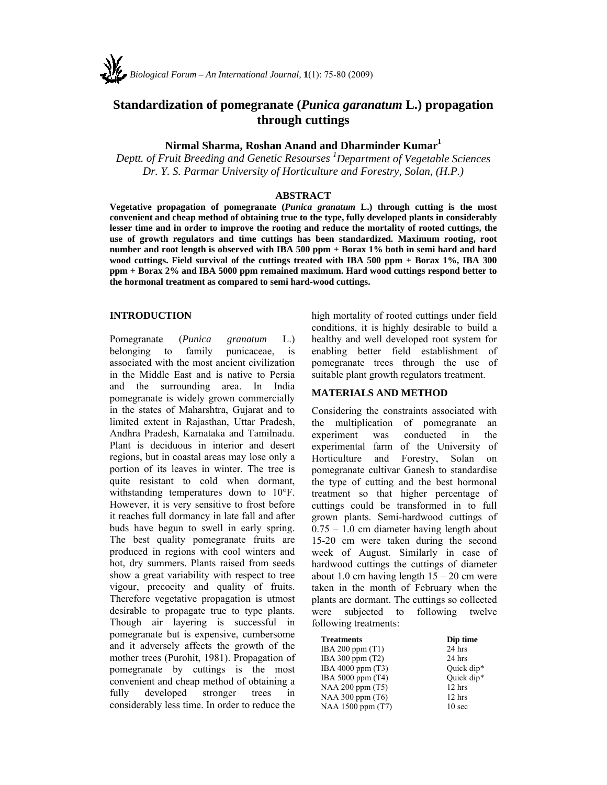

# **Standardization of pomegranate (***Punica garanatum* **L.) propagation through cuttings**

## **Nirmal Sharma, Roshan Anand and Dharminder Kumar1**

*Deptt. of Fruit Breeding and Genetic Resourses 1 Department of Vegetable Sciences Dr. Y. S. Parmar University of Horticulture and Forestry, Solan, (H.P.)* 

#### **ABSTRACT**

**Vegetative propagation of pomegranate (***Punica granatum* **L.) through cutting is the most convenient and cheap method of obtaining true to the type, fully developed plants in considerably lesser time and in order to improve the rooting and reduce the mortality of rooted cuttings, the use of growth regulators and time cuttings has been standardized. Maximum rooting, root number and root length is observed with IBA 500 ppm + Borax 1% both in semi hard and hard wood cuttings. Field survival of the cuttings treated with IBA 500 ppm + Borax 1%, IBA 300 ppm + Borax 2% and IBA 5000 ppm remained maximum. Hard wood cuttings respond better to the hormonal treatment as compared to semi hard-wood cuttings.** 

#### **INTRODUCTION**

Pomegranate (*Punica granatum* L.) belonging to family punicaceae, is associated with the most ancient civilization in the Middle East and is native to Persia and the surrounding area. In India pomegranate is widely grown commercially in the states of Maharshtra, Gujarat and to limited extent in Rajasthan, Uttar Pradesh, Andhra Pradesh, Karnataka and Tamilnadu. Plant is deciduous in interior and desert regions, but in coastal areas may lose only a portion of its leaves in winter. The tree is quite resistant to cold when dormant, withstanding temperatures down to 10°F. However, it is very sensitive to frost before it reaches full dormancy in late fall and after buds have begun to swell in early spring. The best quality pomegranate fruits are produced in regions with cool winters and hot, dry summers. Plants raised from seeds show a great variability with respect to tree vigour, precocity and quality of fruits. Therefore vegetative propagation is utmost desirable to propagate true to type plants. Though air layering is successful in pomegranate but is expensive, cumbersome and it adversely affects the growth of the mother trees (Purohit, 1981). Propagation of pomegranate by cuttings is the most convenient and cheap method of obtaining a fully developed stronger trees in considerably less time. In order to reduce the

high mortality of rooted cuttings under field conditions, it is highly desirable to build a healthy and well developed root system for enabling better field establishment of pomegranate trees through the use of suitable plant growth regulators treatment.

## **MATERIALS AND METHOD**

Considering the constraints associated with the multiplication of pomegranate an experiment was conducted in the experimental farm of the University of Horticulture and Forestry, Solan on pomegranate cultivar Ganesh to standardise the type of cutting and the best hormonal treatment so that higher percentage of cuttings could be transformed in to full grown plants. Semi-hardwood cuttings of 0.75 – 1.0 cm diameter having length about 15-20 cm were taken during the second week of August. Similarly in case of hardwood cuttings the cuttings of diameter about 1.0 cm having length  $15 - 20$  cm were taken in the month of February when the plants are dormant. The cuttings so collected were subjected to following twelve following treatments:

| <b>Treatments</b>  | Dip time          |  |  |
|--------------------|-------------------|--|--|
| IBA 200 ppm $(T1)$ | 24 hrs            |  |  |
| IBA 300 ppm (T2)   | $24$ hrs          |  |  |
| IBA 4000 ppm (T3)  | Ouick dip*        |  |  |
| IBA 5000 ppm (T4)  | Quick dip*        |  |  |
| NAA 200 ppm (T5)   | 12 hrs            |  |  |
| NAA 300 ppm $(T6)$ | $12$ hrs          |  |  |
| NAA 1500 ppm (T7)  | 10 <sub>sec</sub> |  |  |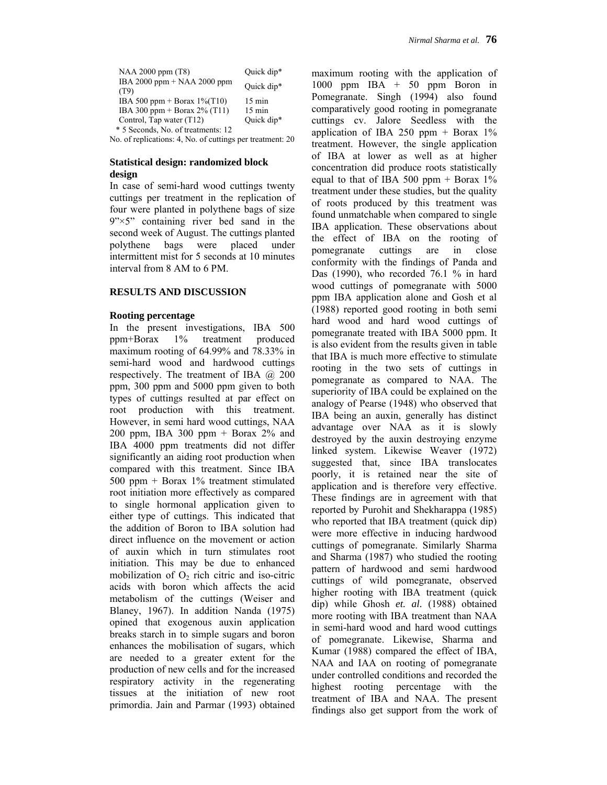| NAA 2000 ppm (T8)                   | Quick dip*       |
|-------------------------------------|------------------|
| IBA 2000 ppm + NAA 2000 ppm<br>(T9) | Ouick dip*       |
| IBA 500 ppm + Borax $1\%$ (T10)     | $15 \text{ min}$ |
| IBA 300 ppm + Borax $2\%$ (T11)     | $15 \text{ min}$ |
| Control, Tap water (T12)            | Quick dip*       |
| * 5 Seconds, No. of treatments: 12  |                  |

No. of replications: 4, No. of cuttings per treatment: 20

#### **Statistical design: randomized block design**

In case of semi-hard wood cuttings twenty cuttings per treatment in the replication of four were planted in polythene bags of size  $9'' \times 5''$  containing river bed sand in the second week of August. The cuttings planted polythene bags were placed under intermittent mist for 5 seconds at 10 minutes interval from 8 AM to 6 PM.

## **RESULTS AND DISCUSSION**

#### **Rooting percentage**

In the present investigations, IBA 500 ppm+Borax 1% treatment produced maximum rooting of 64.99% and 78.33% in semi-hard wood and hardwood cuttings respectively. The treatment of IBA  $(a)$  200 ppm, 300 ppm and 5000 ppm given to both types of cuttings resulted at par effect on root production with this treatment. However, in semi hard wood cuttings, NAA 200 ppm, IBA 300 ppm  $+$  Borax 2% and IBA 4000 ppm treatments did not differ significantly an aiding root production when compared with this treatment. Since IBA 500 ppm + Borax 1% treatment stimulated root initiation more effectively as compared to single hormonal application given to either type of cuttings. This indicated that the addition of Boron to IBA solution had direct influence on the movement or action of auxin which in turn stimulates root initiation. This may be due to enhanced mobilization of  $O<sub>2</sub>$  rich citric and iso-citric acids with boron which affects the acid metabolism of the cuttings (Weiser and Blaney, 1967). In addition Nanda (1975) opined that exogenous auxin application breaks starch in to simple sugars and boron enhances the mobilisation of sugars, which are needed to a greater extent for the production of new cells and for the increased respiratory activity in the regenerating tissues at the initiation of new root primordia. Jain and Parmar (1993) obtained maximum rooting with the application of 1000 ppm IBA + 50 ppm Boron in Pomegranate. Singh (1994) also found comparatively good rooting in pomegranate cuttings cv. Jalore Seedless with the application of IBA 250 ppm  $+$  Borax 1% treatment. However, the single application of IBA at lower as well as at higher concentration did produce roots statistically equal to that of IBA 500 ppm + Borax  $1\%$ treatment under these studies, but the quality of roots produced by this treatment was found unmatchable when compared to single IBA application. These observations about the effect of IBA on the rooting of pomegranate cuttings are in close conformity with the findings of Panda and Das (1990), who recorded 76.1 % in hard wood cuttings of pomegranate with 5000 ppm IBA application alone and Gosh et al (1988) reported good rooting in both semi hard wood and hard wood cuttings of pomegranate treated with IBA 5000 ppm. It is also evident from the results given in table that IBA is much more effective to stimulate rooting in the two sets of cuttings in pomegranate as compared to NAA. The superiority of IBA could be explained on the analogy of Pearse (1948) who observed that IBA being an auxin, generally has distinct advantage over NAA as it is slowly destroyed by the auxin destroying enzyme linked system. Likewise Weaver (1972) suggested that, since IBA translocates poorly, it is retained near the site of application and is therefore very effective. These findings are in agreement with that reported by Purohit and Shekharappa (1985) who reported that IBA treatment (quick dip) were more effective in inducing hardwood cuttings of pomegranate. Similarly Sharma and Sharma (1987) who studied the rooting pattern of hardwood and semi hardwood cuttings of wild pomegranate, observed higher rooting with IBA treatment (quick dip) while Ghosh *et. al.* (1988) obtained more rooting with IBA treatment than NAA in semi-hard wood and hard wood cuttings of pomegranate. Likewise, Sharma and Kumar (1988) compared the effect of IBA, NAA and IAA on rooting of pomegranate under controlled conditions and recorded the highest rooting percentage with the treatment of IBA and NAA. The present findings also get support from the work of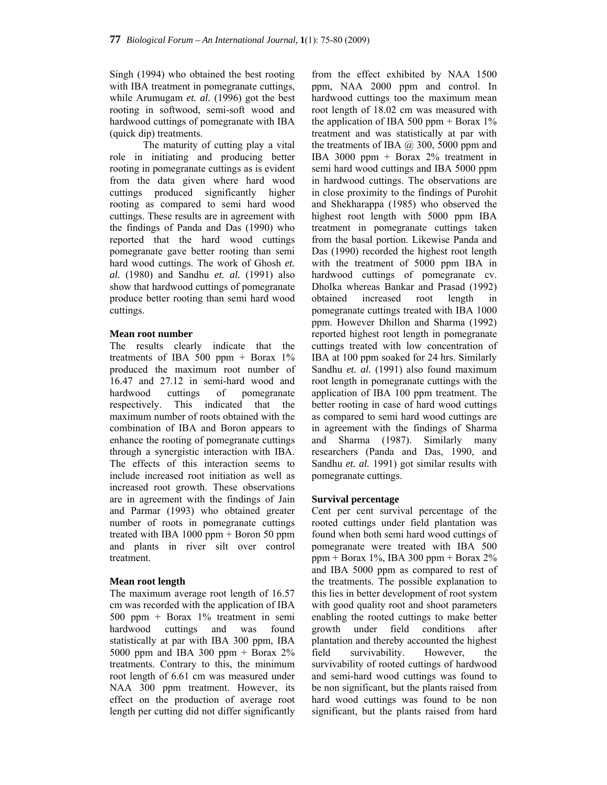Singh (1994) who obtained the best rooting with IBA treatment in pomegranate cuttings, while Arumugam *et. al.* (1996) got the best rooting in softwood, semi-soft wood and hardwood cuttings of pomegranate with IBA (quick dip) treatments.

 The maturity of cutting play a vital role in initiating and producing better rooting in pomegranate cuttings as is evident from the data given where hard wood cuttings produced significantly higher rooting as compared to semi hard wood cuttings. These results are in agreement with the findings of Panda and Das (1990) who reported that the hard wood cuttings pomegranate gave better rooting than semi hard wood cuttings. The work of Ghosh *et. al.* (1980) and Sandhu *et. al.* (1991) also show that hardwood cuttings of pomegranate produce better rooting than semi hard wood cuttings.

#### **Mean root number**

The results clearly indicate that the treatments of IBA 500 ppm  $+$  Borax 1% produced the maximum root number of 16.47 and 27.12 in semi-hard wood and hardwood cuttings of pomegranate respectively. This indicated that the maximum number of roots obtained with the combination of IBA and Boron appears to enhance the rooting of pomegranate cuttings through a synergistic interaction with IBA. The effects of this interaction seems to include increased root initiation as well as increased root growth. These observations are in agreement with the findings of Jain and Parmar (1993) who obtained greater number of roots in pomegranate cuttings treated with IBA 1000 ppm + Boron 50 ppm and plants in river silt over control treatment.

## **Mean root length**

The maximum average root length of 16.57 cm was recorded with the application of IBA 500 ppm + Borax 1% treatment in semi hardwood cuttings and was found statistically at par with IBA 300 ppm, IBA 5000 ppm and IBA 300 ppm  $+$  Borax 2% treatments. Contrary to this, the minimum root length of 6.61 cm was measured under NAA 300 ppm treatment. However, its effect on the production of average root length per cutting did not differ significantly

from the effect exhibited by NAA 1500 ppm, NAA 2000 ppm and control. In hardwood cuttings too the maximum mean root length of 18.02 cm was measured with the application of IBA 500 ppm + Borax  $1\%$ treatment and was statistically at par with the treatments of IBA  $(a)$  300, 5000 ppm and IBA 3000 ppm + Borax 2% treatment in semi hard wood cuttings and IBA 5000 ppm in hardwood cuttings. The observations are in close proximity to the findings of Purohit and Shekharappa (1985) who observed the highest root length with 5000 ppm IBA treatment in pomegranate cuttings taken from the basal portion. Likewise Panda and Das (1990) recorded the highest root length with the treatment of 5000 ppm IBA in hardwood cuttings of pomegranate cv. Dholka whereas Bankar and Prasad (1992) obtained increased root length in pomegranate cuttings treated with IBA 1000 ppm. However Dhillon and Sharma (1992) reported highest root length in pomegranate cuttings treated with low concentration of IBA at 100 ppm soaked for 24 hrs. Similarly Sandhu *et. al.* (1991) also found maximum root length in pomegranate cuttings with the application of IBA 100 ppm treatment. The better rooting in case of hard wood cuttings as compared to semi hard wood cuttings are in agreement with the findings of Sharma and Sharma (1987). Similarly many researchers (Panda and Das, 1990, and Sandhu *et. al.* 1991) got similar results with pomegranate cuttings.

## **Survival percentage**

Cent per cent survival percentage of the rooted cuttings under field plantation was found when both semi hard wood cuttings of pomegranate were treated with IBA 500 ppm + Borax 1%, IBA 300 ppm + Borax 2% and IBA 5000 ppm as compared to rest of the treatments. The possible explanation to this lies in better development of root system with good quality root and shoot parameters enabling the rooted cuttings to make better growth under field conditions after plantation and thereby accounted the highest field survivability. However, the survivability of rooted cuttings of hardwood and semi-hard wood cuttings was found to be non significant, but the plants raised from hard wood cuttings was found to be non significant, but the plants raised from hard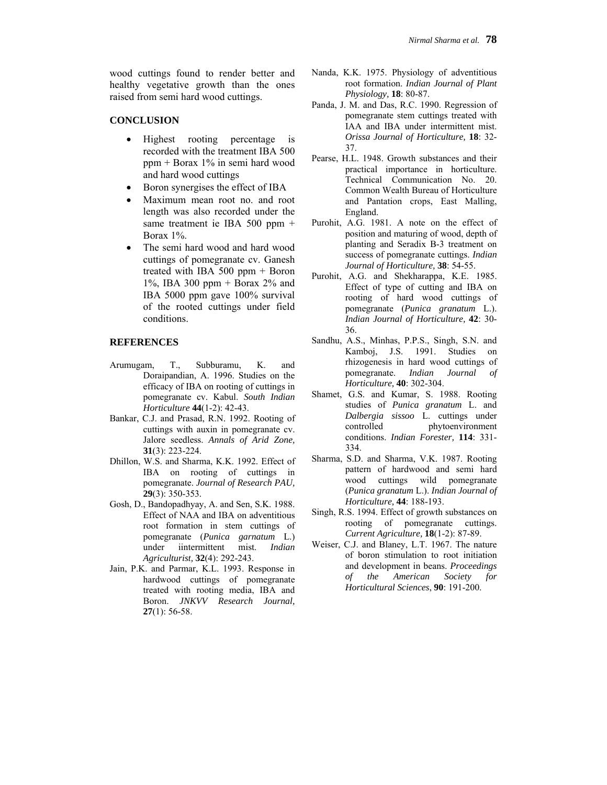wood cuttings found to render better and healthy vegetative growth than the ones raised from semi hard wood cuttings.

#### **CONCLUSION**

- Highest rooting percentage is recorded with the treatment IBA 500 ppm + Borax 1% in semi hard wood and hard wood cuttings
- Boron synergises the effect of IBA
- Maximum mean root no. and root length was also recorded under the same treatment ie IBA 500 ppm + Borax 1%.
- The semi hard wood and hard wood cuttings of pomegranate cv. Ganesh treated with IBA 500 ppm + Boron 1%, IBA 300 ppm + Borax 2% and IBA 5000 ppm gave 100% survival of the rooted cuttings under field conditions.

#### **REFERENCES**

- Arumugam, T., Subburamu, K. and Doraipandian, A. 1996. Studies on the efficacy of IBA on rooting of cuttings in pomegranate cv. Kabul. *South Indian Horticulture* **44**(1-2): 42-43.
- Bankar, C.J. and Prasad, R.N. 1992. Rooting of cuttings with auxin in pomegranate cv. Jalore seedless. *Annals of Arid Zone,* **31**(3): 223-224.
- Dhillon, W.S. and Sharma, K.K. 1992. Effect of IBA on rooting of cuttings in pomegranate. *Journal of Research PAU,* **29**(3): 350-353.
- Gosh, D., Bandopadhyay, A. and Sen, S.K. 1988. Effect of NAA and IBA on adventitious root formation in stem cuttings of pomegranate (*Punica garnatum* L.) under iintermittent mist. *Indian Agriculturist,* **32**(4): 292-243.
- Jain, P.K. and Parmar, K.L. 1993. Response in hardwood cuttings of pomegranate treated with rooting media, IBA and Boron. *JNKVV Research Journal,* **27**(1): 56-58.
- Nanda, K.K. 1975. Physiology of adventitious root formation. *Indian Journal of Plant Physiology,* **18**: 80-87.
- Panda, J. M. and Das, R.C. 1990. Regression of pomegranate stem cuttings treated with IAA and IBA under intermittent mist. *Orissa Journal of Horticulture,* **18**: 32- 37.
- Pearse, H.L. 1948. Growth substances and their practical importance in horticulture. Technical Communication No. 20. Common Wealth Bureau of Horticulture and Pantation crops, East Malling, England.
- Purohit, A.G. 1981. A note on the effect of position and maturing of wood, depth of planting and Seradix B-3 treatment on success of pomegranate cuttings. *Indian Journal of Horticulture,* **38**: 54-55.
- Purohit, A.G. and Shekharappa, K.E. 1985. Effect of type of cutting and IBA on rooting of hard wood cuttings of pomegranate (*Punica granatum* L.). *Indian Journal of Horticulture,* **42**: 30- 36.
- Sandhu, A.S., Minhas, P.P.S., Singh, S.N. and Kamboj, J.S. 1991. Studies on rhizogenesis in hard wood cuttings of pomegranate. *Indian Journal of Horticulture,* **40**: 302-304.
- Shamet, G.S. and Kumar, S. 1988. Rooting studies of *Punica granatum* L. and *Dalbergia sissoo* L. cuttings under controlled phytoenvironment conditions. *Indian Forester,* **114**: 331- 334.
- Sharma, S.D. and Sharma, V.K. 1987. Rooting pattern of hardwood and semi hard wood cuttings wild pomegranate (*Punica granatum* L.). *Indian Journal of Horticulture,* **44**: 188-193.
- Singh, R.S. 1994. Effect of growth substances on rooting of pomegranate cuttings. *Current Agriculture,* **18**(1-2): 87-89.
- Weiser, C.J. and Blaney, L.T. 1967. The nature of boron stimulation to root initiation and development in beans. *Proceedings of the American Society for Horticultural Sciences*, **90**: 191-200.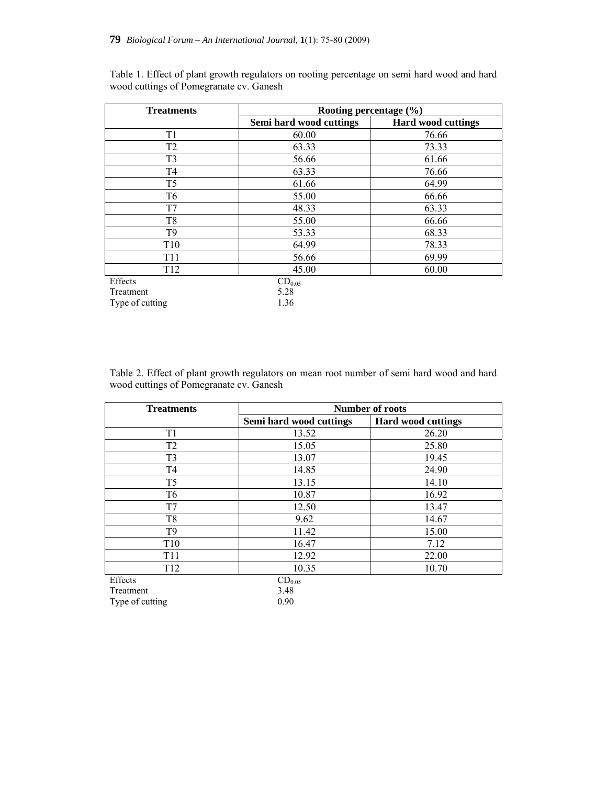Type of cutting 1.36

| <b>Treatments</b> | Rooting percentage $(\% )$ |                           |  |  |  |
|-------------------|----------------------------|---------------------------|--|--|--|
|                   | Semi hard wood cuttings    | <b>Hard wood cuttings</b> |  |  |  |
| T1                | 60.00                      | 76.66                     |  |  |  |
| T <sub>2</sub>    | 63.33                      | 73.33                     |  |  |  |
| T <sub>3</sub>    | 56.66                      | 61.66                     |  |  |  |
| T4                | 63.33                      | 76.66                     |  |  |  |
| T <sub>5</sub>    | 61.66                      | 64.99                     |  |  |  |
| T <sub>6</sub>    | 55.00                      | 66.66                     |  |  |  |
| T7                | 48.33                      | 63.33                     |  |  |  |
| T8                | 55.00                      | 66.66                     |  |  |  |
| T <sub>9</sub>    | 53.33                      | 68.33                     |  |  |  |
| T <sub>10</sub>   | 64.99                      | 78.33                     |  |  |  |
| T <sub>11</sub>   | 56.66                      | 69.99                     |  |  |  |
| T <sub>12</sub>   | 45.00                      | 60.00                     |  |  |  |
| Effects           | $CD_{0.05}$                |                           |  |  |  |
| Treatment         | 5.28                       |                           |  |  |  |

Table 1. Effect of plant growth regulators on rooting percentage on semi hard wood and hard wood cuttings of Pomegranate cv. Ganesh

Table 2. Effect of plant growth regulators on mean root number of semi hard wood and hard wood cuttings of Pomegranate cv. Ganesh

| <b>Treatments</b> | <b>Number of roots</b>  |                           |  |  |
|-------------------|-------------------------|---------------------------|--|--|
|                   | Semi hard wood cuttings | <b>Hard wood cuttings</b> |  |  |
| T1                | 13.52                   | 26.20                     |  |  |
| T <sub>2</sub>    | 15.05                   | 25.80                     |  |  |
| T <sub>3</sub>    | 13.07                   | 19.45                     |  |  |
| T <sub>4</sub>    | 14.85                   | 24.90                     |  |  |
| T <sub>5</sub>    | 13.15                   | 14.10                     |  |  |
| T <sub>6</sub>    | 10.87                   | 16.92                     |  |  |
| T7                | 12.50                   | 13.47                     |  |  |
| T <sub>8</sub>    | 9.62                    | 14.67                     |  |  |
| T <sub>9</sub>    | 11.42                   | 15.00                     |  |  |
| T <sub>10</sub>   | 16.47                   | 7.12                      |  |  |
| <b>T11</b>        | 12.92                   | 22.00                     |  |  |
| T <sub>12</sub>   | 10.35                   | 10.70                     |  |  |
| Effects           | $CD_{0.05}$             |                           |  |  |
| Treatment         | 3.48                    |                           |  |  |
| Type of cutting   | 0.90                    |                           |  |  |